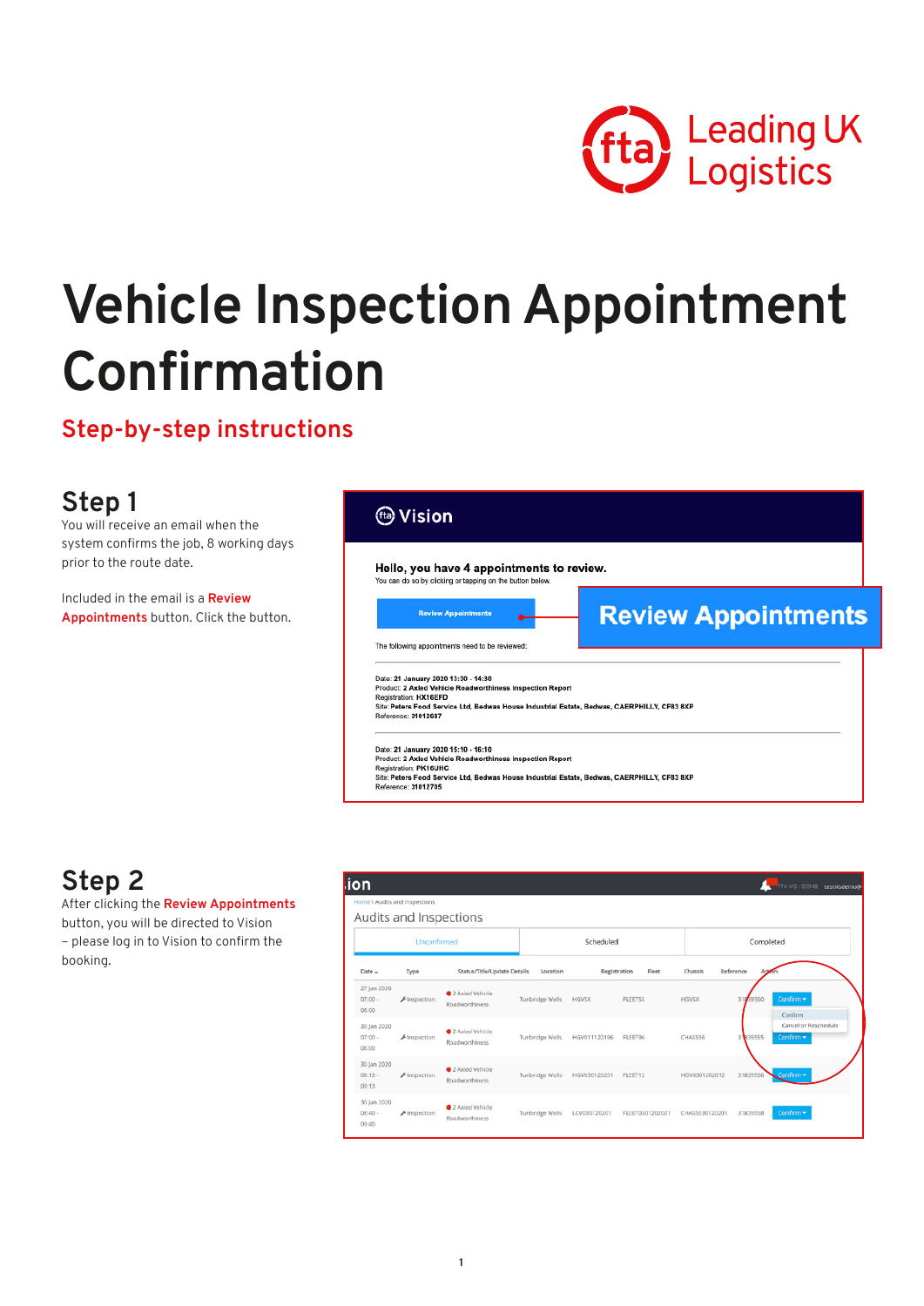

# **Vehicle Inspection Appointment Confirmation**

**Step-by-step instructions** 

#### **Step 1**

You will receive an email when the system confirms the job, 8 working days prior to the route date.

Included in the email is a **Review Appointments** button. Click the button.

#### <sup>(ta</sup>) Vision

Hello, you have 4 appointments to review. You can do so by clicking or tapping on the button belo **Review Appointments** The following appointments need to be reviewed

**Review Appointments** 

Date: 21 January 2020 13:30 - 14:30<br>Product: 2 Axled Vehicle Roadworthiness Inspection Report<br>Registration: HX16EFD Registration: HX16EFD<br>Silic: Peters Food Service Ltd, Bedwas House Industrial Estate, Bedwas, CAERPHILLY, CF83 8XP<br>Reference: 31012687

Date: 21 January 2020 15:10 - 16:10<br>Product: 2 Axled Vehicle Roadworthi<br>Registration: PK16UHC rthiness Inspection Report englandsen in the creative late.<br>Site: Peters Food Service Ltd. Bedwas House Industrial Estate. Bedwas. CAERPHILLY. CF83 8XP

Reference: 31012705

# **Step 2**

After clicking the **Review Appointments**

button, you will be directed to Vision – please log in to Vision to confirm the booking.

|                                   | Home \ Audits and Inspections    | Audits and Inspections            |                 |              |                 |                |             |                                   |
|-----------------------------------|----------------------------------|-----------------------------------|-----------------|--------------|-----------------|----------------|-------------|-----------------------------------|
|                                   | Unconfirmed                      |                                   |                 | Scheduled    |                 |                | Completed   |                                   |
| Date -                            | Type                             | Status/Title/Update Details       | Location        | Registration | Fleet           | Chassis        | Reference   |                                   |
| 27 Jan 2020<br>$07:00 -$<br>08:00 | $\blacktriangleright$ Inspection | 2 Axled Vehicle<br>Roadworthiness | Tunbridge Wells | <b>HGVSX</b> | <b>FLEETSX</b>  | <b>HGVSX</b>   | 9560<br>318 | Confirm *<br>Confirm              |
| 30 Jan 2020<br>$07:00 -$<br>08:00 | F Inspection                     | 2 Axled Vehicle<br>Roadworthiness | Tunbridge Wells | HGV011120196 | FLEET96         | CHASS96        | 31839555    | Cancel or Reschedule<br>Confirm * |
| 30 Jan 2020<br>08:13.<br>09:13    | F Inspection                     | 2 Axled Vehicle<br>Roadworthiness | Tunbridge Wells | HGV030120201 | FLEET12         | HGV0301202012  | 31839556    | Confirm -                         |
| 30 Jan 2020<br>$08:40 -$<br>09:40 | F Inspection                     | 2 Axled Vehicle<br>Roadworthiness | Tunbridge Wells | LCV030120201 | FLEET0301202021 | CHASS030120201 | 31839558    | Confirm *                         |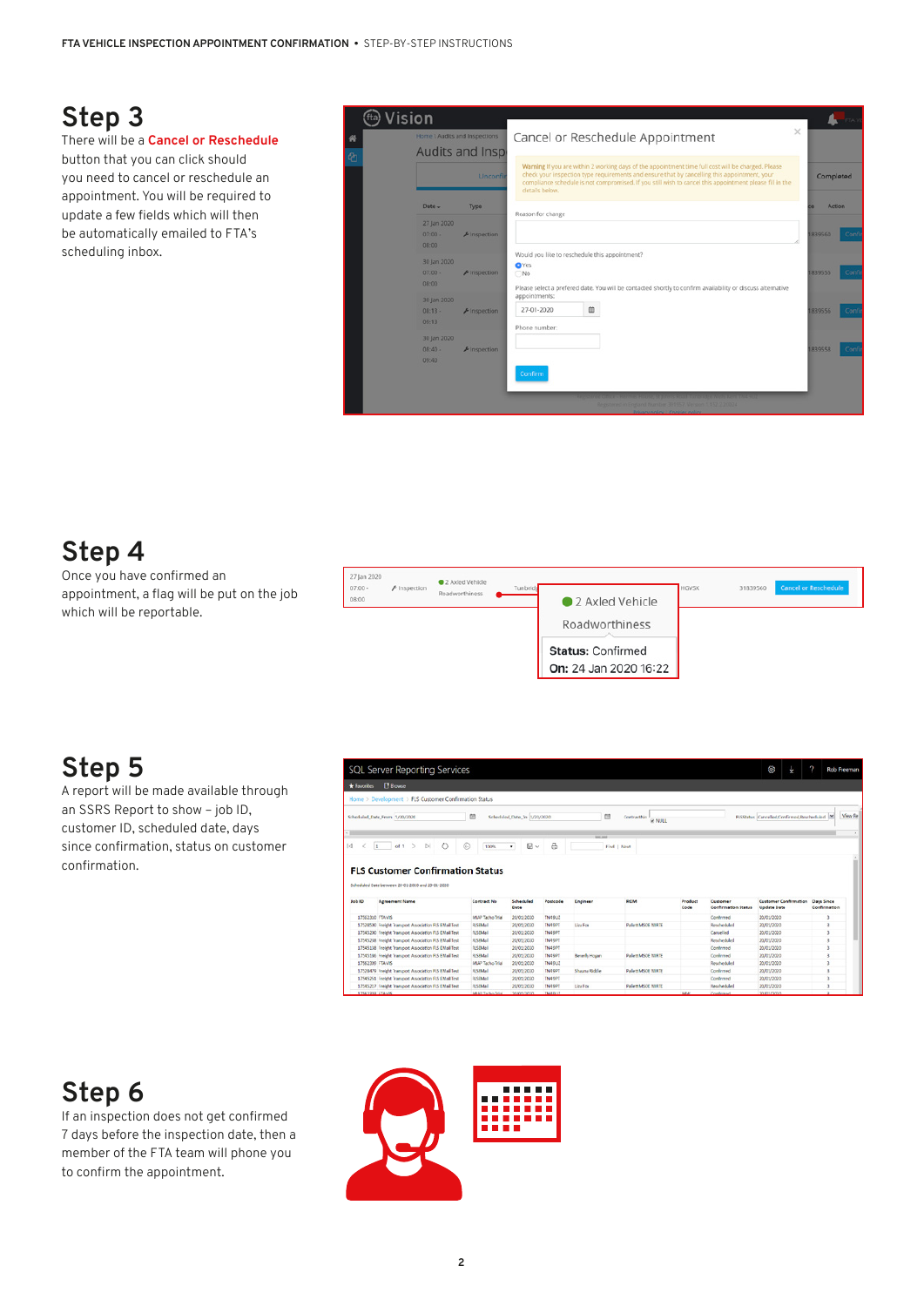# **Step 3**

There will be a **Cancel or Reschedule** button that you can click should you need to cancel or reschedule an appointment. You will be required to update a few fields which will then be automatically emailed to FTA's scheduling inbox.

| Home \ Audits and Inspections     | Audits and Insp                  | $\times$<br>Cancel or Reschedule Appointment                                                                                                                                                                                                                                                                                    |           |               |
|-----------------------------------|----------------------------------|---------------------------------------------------------------------------------------------------------------------------------------------------------------------------------------------------------------------------------------------------------------------------------------------------------------------------------|-----------|---------------|
|                                   | Unconfil                         | Warning If you are within 2 working days of the appointment time full cost will be charged. Please<br>check your inspection type requirements and ensure that by cancelling this appointment, your<br>compliance schedule is not compromised. If you still wish to cancel this appointment please fill in the<br>details below. | Completed |               |
| $Date -$                          | Type                             | Reason for change                                                                                                                                                                                                                                                                                                               |           | <b>Action</b> |
| 27 Jan 2020<br>$07:00 -$<br>08:00 | $\blacktriangleright$ Inspection |                                                                                                                                                                                                                                                                                                                                 | 839560    | Conf          |
| 30 Jan 2020<br>$07:00 -$<br>08:00 | $F$ Inspection                   | Would you like to reschedule this appointment?<br><b>O</b> Yes<br>ONO<br>Please select a prefered date. You will be contacted shortly to confirm availability or discuss alternative                                                                                                                                            | 1839555   | Conf          |
| 30 Jan 2020<br>08:13.<br>09:13    | $F$ Inspection                   | appointments:<br>m<br>27-01-2020<br>Phone number:                                                                                                                                                                                                                                                                               | 1839556   | Confi         |
| 30 Jan 2020<br>08:40.<br>09:40    | $F$ Inspection                   | Confirm                                                                                                                                                                                                                                                                                                                         | 1839558   | Conf          |

#### **Step 4**

Once you have confirmed an appointment, a flag will be put on the job which will be reportable.



## **Step 5**

A report will be made available through an SSRS Report to show – job ID, customer ID, scheduled date, days since confirmation, status on customer confirmation.

|                   | SQL Server Reporting Services                                                               |                                    |                             |                                   |                   |                               |                 |                                        | Ø.<br>Ψ                                            | о<br><b>Rob Freeman</b>    |
|-------------------|---------------------------------------------------------------------------------------------|------------------------------------|-----------------------------|-----------------------------------|-------------------|-------------------------------|-----------------|----------------------------------------|----------------------------------------------------|----------------------------|
| * Favorites       | <b>E</b> Browse                                                                             |                                    |                             |                                   |                   |                               |                 |                                        |                                                    |                            |
|                   | Home > Development > FLS Customer Confirmation Status                                       |                                    |                             |                                   |                   |                               |                 |                                        |                                                    |                            |
|                   | Scheduled Date From 1/20/2020                                                               | m                                  | Scheduled Date To 1/20/2020 |                                   | m                 | Contractivo<br><b>IR NULL</b> |                 |                                        | FLSStatus Cancelled,Confirmed,Rescheduled [M]      | View Re                    |
|                   |                                                                                             |                                    |                             |                                   | <b>STATE SHOW</b> |                               |                 |                                        |                                                    |                            |
| $\lvert d \rvert$ | $\circ$<br>$\geq$<br>$\triangleright$<br>68.1<br>l s                                        | ⊛<br>100%                          | 回し<br>٠                     | a                                 |                   | Find   Next                   |                 |                                        |                                                    |                            |
|                   | <b>FLS Customer Confirmation Status</b><br>Scheduled Date between 20-01-2020 and 20-01-2020 |                                    |                             |                                   |                   |                               |                 |                                        |                                                    |                            |
|                   | <b>Agreement Name</b>                                                                       | <b>Contract No</b>                 | Scheduled<br>Date           | Pastcode                          | <b>Engineer</b>   | ROM                           | Product<br>Code | Customer<br><b>Confirmation Status</b> | <b>Customer Confirmation</b><br><b>Undate Date</b> | Days Since<br>Confirmation |
|                   | 17562310 FTA VIS                                                                            | MAP Tacho Trial                    | 20/01/2020                  | TN4 9UZ                           |                   |                               |                 | Confirmed                              | 20/01/2020                                         |                            |
|                   | 17528500 Freight Transport Association FLS EMail Test                                       | <b>FLSEMail</b>                    | 20/01/2020                  | TN4 GPT                           | Liza Fox          | <b>Pallet MSCE MIRTE</b>      |                 | Rescheduled                            | 20/01/2020                                         |                            |
|                   | 17545200 Freight Transport Association FLS EMail Test                                       | <b>FLSCMAIL</b>                    | 20/01/2020                  | TN4 SPT                           |                   |                               |                 | Cancelled                              | 20/01/2020                                         | $\mathbf{1}$               |
|                   | 17545238 Freight Transport Association FLS EMail Test                                       | <b>RS/Mail</b>                     | 20/01/2020                  | <b>TN4 9PT</b>                    |                   |                               |                 | Rescheduled                            | 20/01/2020                                         |                            |
|                   | 17545138 Freight Transport Association FLS EMail Test                                       | <b>FLSCMell</b>                    | 20/01/2020                  | TN4 9PT                           |                   |                               |                 | Confirmed                              | 20/01/2020                                         | ٠                          |
|                   | 17545186 Freight Transport Association FLS EMail Test                                       | <b>FISFAGE</b>                     | 20/01/2020                  | TN4 9PT                           | Beverly Hogan     | <b>Pallett MSCE MIRTE</b>     |                 | Confermed                              | 20/01/2020                                         | ×                          |
|                   | 17562300 FTA VIS                                                                            | MAP Tacho Trial                    | 20/01/2020                  | TN4 9UZ                           |                   |                               |                 | Rescheduled                            | 20/01/2020                                         | $\overline{a}$             |
|                   | 17528479 Freight Transport Association FLS EMail Test                                       | <b>RSIMall</b>                     | 20/01/2020                  | TNI OPT                           | Shauna Riddle     | <b>Pallet MSCE MIRTE</b>      |                 | Conferned                              | <b>20/01/2020</b>                                  |                            |
| Job ID            | 17545251 Freight Transport Association FLS EMail Test                                       | <b>FESTMANY</b>                    | 20/01/2020                  | TN4 5PT                           |                   |                               |                 | Conferent                              | 20/01/2020                                         |                            |
|                   | 17545217 Freight Transport Association FLS EMail Test<br>17562333 FTA VIS                   | <b>FISEMAIL</b><br>MAP Tacho Trial | 20/01/2020<br>20/01/2020    | <b>TN4 9PT</b><br><b>TN4 9L12</b> | Liza Fox          | <b>Pallet MSCE MIRTE</b>      | one             | Rescheduled<br>Confermed               | 20/01/2020<br>20/01/2020                           |                            |

#### **Step 6**

If an inspection does not get confirmed 7 days before the inspection date, then a member of the FTA team will phone you to confirm the appointment.